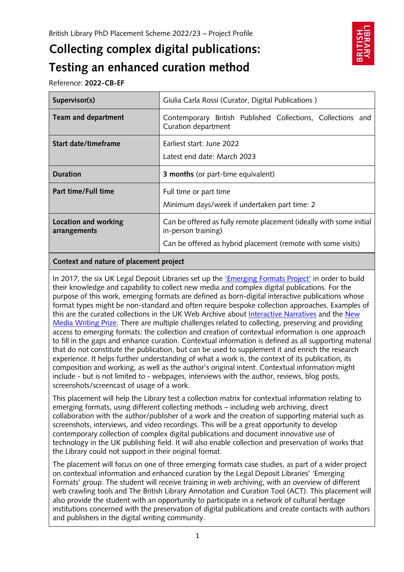# **Collecting complex digital publications: Testing an enhanced curation method**



Reference: **2022-CB-EF**

| Supervisor(s)                        | Giulia Carla Rossi (Curator, Digital Publications)                                                                                                         |
|--------------------------------------|------------------------------------------------------------------------------------------------------------------------------------------------------------|
| Team and department                  | Contemporary British Published Collections, Collections and<br>Curation department                                                                         |
| Start date/timeframe                 | Earliest start: June 2022<br>Latest end date: March 2023                                                                                                   |
| <b>Duration</b>                      | <b>3 months</b> (or part-time equivalent)                                                                                                                  |
| Part time/Full time                  | Full time or part time<br>Minimum days/week if undertaken part time: 2                                                                                     |
| Location and working<br>arrangements | Can be offered as fully remote placement (ideally with some initial<br>in-person training)<br>Can be offered as hybrid placement (remote with some visits) |

### **Context and nature of placement project**

In 2017, the six UK Legal Deposit Libraries set up the ['Emerging Formats Project'](https://www.bl.uk/projects/emerging-formats) in order to build their knowledge and capability to collect new media and complex digital publications. For the purpose of this work, emerging formats are defined as born-digital interactive publications whose format types might be non-standard and often require bespoke collection approaches. Examples of this are the curated collections in the UK Web Archive about [Interactive Narratives](https://www.webarchive.org.uk/en/ukwa/collection/1836) and the [New](https://www.webarchive.org.uk/en/ukwa/collection/2912)  [Media Writing Prize.](https://www.webarchive.org.uk/en/ukwa/collection/2912) There are multiple challenges related to collecting, preserving and providing access to emerging formats: the collection and creation of contextual information is one approach to fill in the gaps and enhance curation. Contextual information is defined as all supporting material that do not constitute the publication, but can be used to supplement it and enrich the research experience. It helps further understanding of what a work is, the context of its publication, its composition and working, as well as the author's original intent. Contextual information might include - but is not limited to - webpages, interviews with the author, reviews, blog posts, screenshots/screencast of usage of a work.

This placement will help the Library test a collection matrix for contextual information relating to emerging formats, using different collecting methods – including web archiving, direct collaboration with the author/publisher of a work and the creation of supporting material such as screenshots, interviews, and video recordings. This will be a great opportunity to develop contemporary collection of complex digital publications and document innovative use of technology in the UK publishing field. It will also enable collection and preservation of works that the Library could not support in their original format.

The placement will focus on one of three emerging formats case studies, as part of a wider project on contextual information and enhanced curation by the Legal Deposit Libraries' 'Emerging Formats' group. The student will receive training in web archiving, with an overview of different web crawling tools and The British Library Annotation and Curation Tool (ACT). This placement will also provide the student with an opportunity to participate in a network of cultural heritage institutions concerned with the preservation of digital publications and create contacts with authors and publishers in the digital writing community.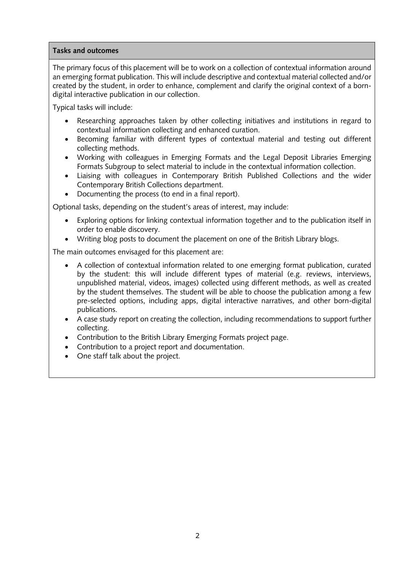#### **Tasks and outcomes**

The primary focus of this placement will be to work on a collection of contextual information around an emerging format publication. This will include descriptive and contextual material collected and/or created by the student, in order to enhance, complement and clarify the original context of a borndigital interactive publication in our collection.

Typical tasks will include:

- Researching approaches taken by other collecting initiatives and institutions in regard to contextual information collecting and enhanced curation.
- Becoming familiar with different types of contextual material and testing out different collecting methods.
- Working with colleagues in Emerging Formats and the Legal Deposit Libraries Emerging Formats Subgroup to select material to include in the contextual information collection.
- Liaising with colleagues in Contemporary British Published Collections and the wider Contemporary British Collections department.
- Documenting the process (to end in a final report).

Optional tasks, depending on the student's areas of interest, may include:

- Exploring options for linking contextual information together and to the publication itself in order to enable discovery.
- Writing blog posts to document the placement on one of the British Library blogs.

The main outcomes envisaged for this placement are:

- A collection of contextual information related to one emerging format publication, curated by the student: this will include different types of material (e.g. reviews, interviews, unpublished material, videos, images) collected using different methods, as well as created by the student themselves. The student will be able to choose the publication among a few pre-selected options, including apps, digital interactive narratives, and other born-digital publications.
- A case study report on creating the collection, including recommendations to support further collecting.
- Contribution to the British Library Emerging Formats project page.
- Contribution to a project report and documentation.
- One staff talk about the project.